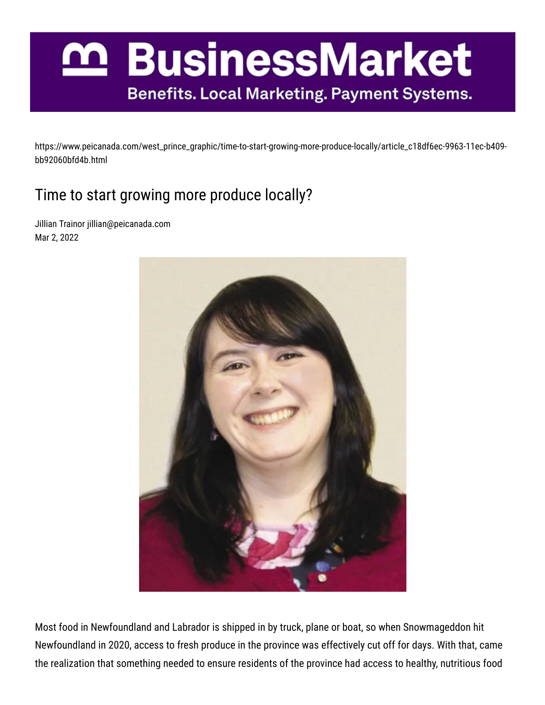## n BusinessMarket **Benefits. Local Marketing. Payment Systems.**

https://www.peicanada.com/west\_prince\_graphic/time-to-start-growing-more-produce-locally/article\_c18df6ec-9963-11ec-b409 bb92060bfd4b.html

## Time to start growing more produce locally?

Jillian Trainor jillian@peicanada.com Mar 2, 2022



Most food in Newfoundland and Labrador is shipped in by truck, plane or boat, so when Snowmageddon hit Newfoundland in 2020, access to fresh produce in the province was effectively cut off for days. With that, came the realization that something needed to ensure residents of the province had access to healthy, nutritious food